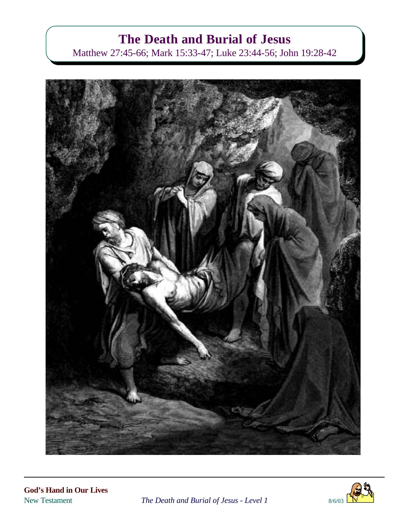# **The Death and Burial of Jesus**

Matthew 27:45-66; Mark 15:33-47; Luke 23:44-56; John 19:28-42





New Testament *The Death and Burial of Jesus - Level 1* 8/6/03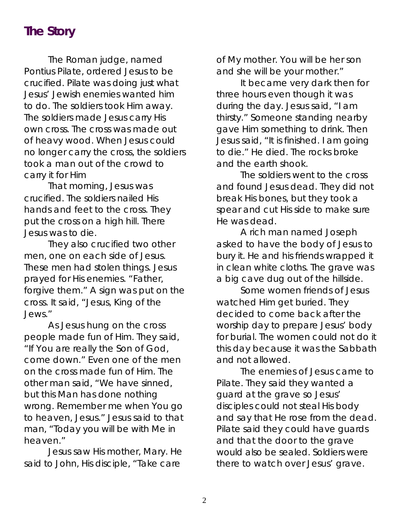#### **The Story**

The Roman judge, named Pontius Pilate, ordered Jesus to be crucified. Pilate was doing just what Jesus' Jewish enemies wanted him to do. The soldiers took Him away. The soldiers made Jesus carry His own cross. The cross was made out of heavy wood. When Jesus could no longer carry the cross, the soldiers took a man out of the crowd to carry it for Him

That morning, Jesus was crucified. The soldiers nailed His hands and feet to the cross. They put the cross on a high hill. There Jesus was to die.

They also crucified two other men, one on each side of Jesus. These men had stolen things. Jesus prayed for His enemies. "Father, forgive them." A sign was put on the cross. It said, "Jesus, King of the Jews."

As Jesus hung on the cross people made fun of Him. They said, "If You are really the Son of God, come down." Even one of the men on the cross made fun of Him. The other man said, "We have sinned, but this Man has done nothing wrong. Remember me when You go to heaven, Jesus." Jesus said to that man, "Today you will be with Me in heaven."

Jesus saw His mother, Mary. He said to John, His disciple, "Take care

of My mother. You will be her son and she will be your mother."

It became very dark then for three hours even though it was during the day. Jesus said, "I am thirsty." Someone standing nearby gave Him something to drink. Then Jesus said, "It is finished. I am going to die." He died. The rocks broke and the earth shook.

The soldiers went to the cross and found Jesus dead. They did not break His bones, but they took a spear and cut His side to make sure He was dead.

A rich man named Joseph asked to have the body of Jesus to bury it. He and his friends wrapped it in clean white cloths. The grave was a big cave dug out of the hillside.

Some women friends of Jesus watched Him get buried. They decided to come back after the worship day to prepare Jesus' body for burial. The women could not do it this day because it was the Sabbath and not allowed.

The enemies of Jesus came to Pilate. They said they wanted a guard at the grave so Jesus' disciples could not steal His body and say that He rose from the dead. Pilate said they could have guards and that the door to the grave would also be sealed. Soldiers were there to watch over Jesus' grave.